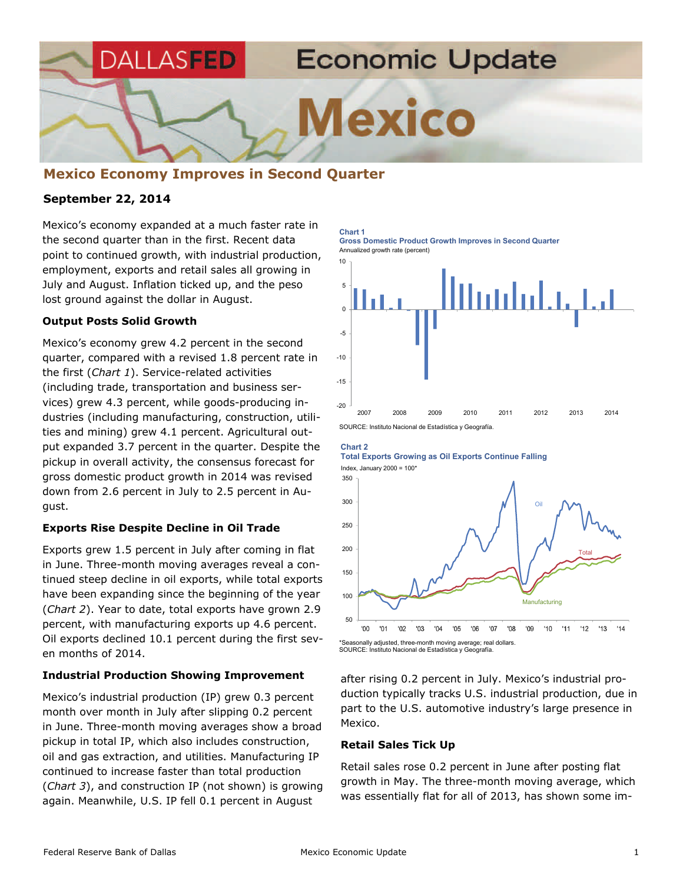

# **Mexico Economy Improves in Second Quarter**

### **September 22, 2014**

Mexico's economy expanded at a much faster rate in the second quarter than in the first. Recent data point to continued growth, with industrial production, employment, exports and retail sales all growing in July and August. Inflation ticked up, and the peso lost ground against the dollar in August.

#### **Output Posts Solid Growth**

Mexico's economy grew 4.2 percent in the second quarter, compared with a revised 1.8 percent rate in the first (*Chart 1*). Service-related activities (including trade, transportation and business services) grew 4.3 percent, while goods-producing industries (including manufacturing, construction, utilities and mining) grew 4.1 percent. Agricultural output expanded 3.7 percent in the quarter. Despite the pickup in overall activity, the consensus forecast for gross domestic product growth in 2014 was revised down from 2.6 percent in July to 2.5 percent in August.

### **Exports Rise Despite Decline in Oil Trade**

Exports grew 1.5 percent in July after coming in flat in June. Three-month moving averages reveal a continued steep decline in oil exports, while total exports have been expanding since the beginning of the year (*Chart 2*). Year to date, total exports have grown 2.9 percent, with manufacturing exports up 4.6 percent. Oil exports declined 10.1 percent during the first seven months of 2014.

### **Industrial Production Showing Improvement**

Mexico's industrial production (IP) grew 0.3 percent month over month in July after slipping 0.2 percent in June. Three-month moving averages show a broad pickup in total IP, which also includes construction, oil and gas extraction, and utilities. Manufacturing IP continued to increase faster than total production (*Chart 3*), and construction IP (not shown) is growing again. Meanwhile, U.S. IP fell 0.1 percent in August

Annualized growth rate (percent) **Chart 1 Gross Domestic Product Growth Improves in Second Quarter** 



#### **Chart 2**

**Total Exports Growing as Oil Exports Continue Falling**  Index, January  $2000 = 100*$ 



SOURCE: Instituto Nacional de Estadística y Geografía.

after rising 0.2 percent in July. Mexico's industrial production typically tracks U.S. industrial production, due in part to the U.S. automotive industry's large presence in Mexico.

#### **Retail Sales Tick Up**

Retail sales rose 0.2 percent in June after posting flat growth in May. The three-month moving average, which was essentially flat for all of 2013, has shown some im-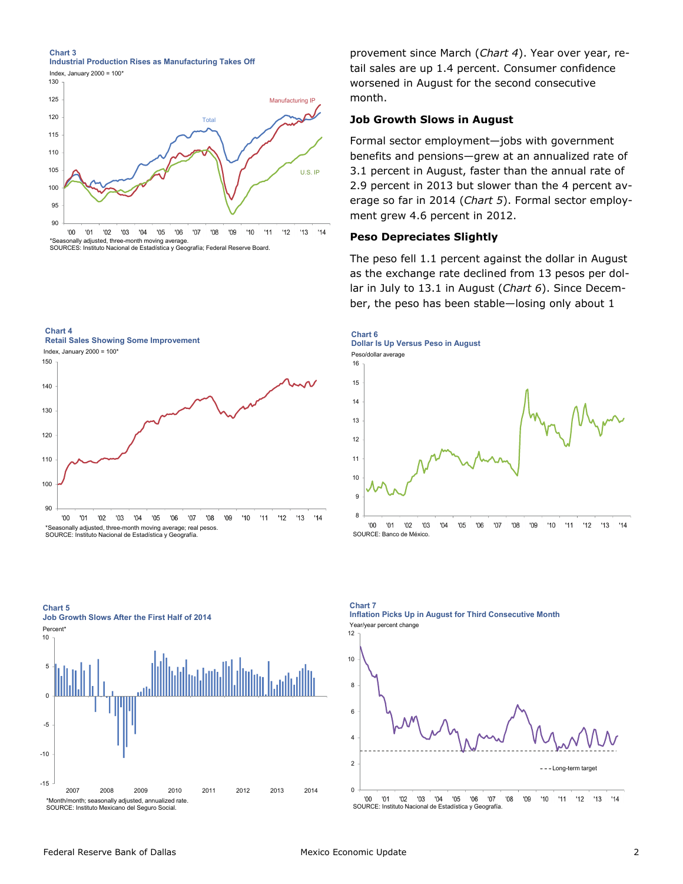**Chart 3 Industrial Production Rises as Manufacturing Takes Off** 



**Chart 4** 

**Retail Sales Showing Some Improvement**



SOURCE: Instituto Nacional de Estadística y Geografía.

**Chart 5** 

-15 -10 -5 0 5 10 2007 2008 2009 2010 2011 2012 2013 2014 \*Month/month; seasonally adjusted, annualized rate. SOURCE: Instituto Mexicano del Seguro Social. **Job Growth Slows After the First Half of 2014 Percent** 

provement since March (*Chart 4*). Year over year, retail sales are up 1.4 percent. Consumer confidence worsened in August for the second consecutive month.

### **Job Growth Slows in August**

Formal sector employment—jobs with government benefits and pensions—grew at an annualized rate of 3.1 percent in August, faster than the annual rate of 2.9 percent in 2013 but slower than the 4 percent average so far in 2014 (*Chart 5*). Formal sector employment grew 4.6 percent in 2012.

### **Peso Depreciates Slightly**

The peso fell 1.1 percent against the dollar in August as the exchange rate declined from 13 pesos per dollar in July to 13.1 in August (*Chart 6*). Since December, the peso has been stable—losing only about 1



**Chart 7 Inflation Picks Up in August for Third Consecutive Month** Year/year percent change